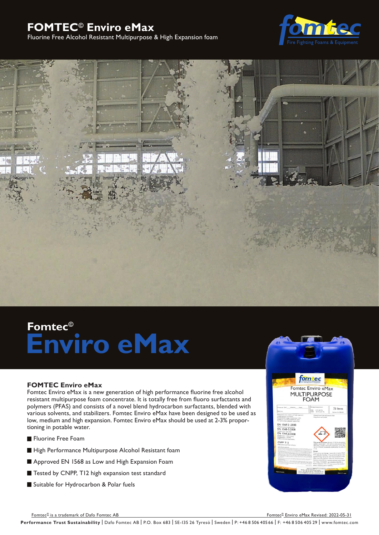# **FOMTEC© Enviro eMax**

## Fluorine Free Alcohol Resistant Multipurpose & High Expansion foam





# **Fomtec© Enviro eMax**

#### **FOMTEC Enviro eMax**

Fomtec Enviro eMax is a new generation of high performance fluorine free alcohol resistant multipurpose foam concentrate. It is totally free from fluoro surfactants and polymers (PFAS) and consists of a novel blend hydrocarbon surfactants, blended with various solvents, and stabilizers. Fomtec Enviro eMax have been designed to be used as low, medium and high expansion. Fomtec Enviro eMax should be used at 2-3% proportioning in potable water.

- **Fluorine Free Foam**
- High Performance Multipurpose Alcohol Resistant foam
- Approved EN 1568 as Low and High Expansion Foam
- Tested by CNPP, T12 high expansion test standard
- Suitable for Hydrocarbon & Polar fuels



Fomtec® is a trademark of Dafo Fomtec AB Formulation and the control of the control of the control of the control of the control of the control of the control of the control of the control of the control of the control of

Fomtec<sup>®</sup> Enviro eMax Revised: 2022-05-31

Performance Trust Sustainability | Dafo Fomtec AB | P.O. Box 683 | SE-135 26 Tyresö | Sweden | P: +46 8 506 405 66 | F: +46 8 506 405 29 | www.fomtec.com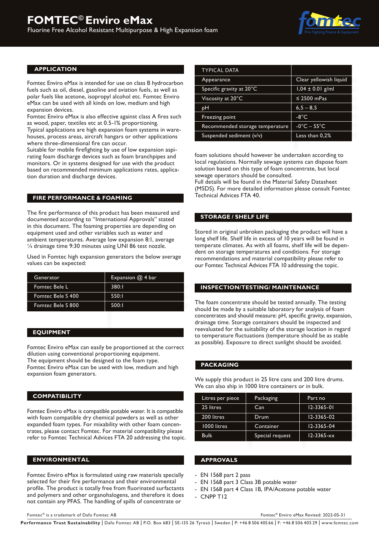

#### **APPLICATION**

Fomtec Enviro eMax is intended for use on class B hydrocarbon fuels such as oil, diesel, gasoline and aviation fuels, as well as polar fuels like acetone, isopropyl alcohol etc. Fomtec Enviro eMax can be used with all kinds on low, medium and high expansion devices.

Fomtec Enviro eMax is also effective against class A fires such as wood, paper, textiles etc at 0.5-1% proportioning. Typical applications are high expansion foam systems in warehouses, process areas, aircraft hangars or other applications where three-dimensional fire can occur.

Suitable for mobile firefighting by use of low expansion aspirating foam discharge devices such as foam branchpipes and monitors. Or in systems designed for use with the product based on recommended minimum applications rates, application duration and discharge devices.

#### **FIRE PERFORMANCE & FOAMING**

The fire performance of this product has been measured and documented according to "International Approvals" stated in this document. The foaming properties are depending on equipment used and other variables such as water and ambient temperatures. Average low expansion 8:1, average ¼ drainage time 9:30 minutes using UNI 86 test nozzle.

Used in Fomtec high expansion generators the below average values can be expected:

| Generator         | Expansion $@$ 4 bar |
|-------------------|---------------------|
| Fomtec Bele L     | 380:1               |
| Fomtec Bele S 400 | 550:1               |
| Fomtec Bele S 800 | 500:1               |

#### **EQUIPMENT**

Fomtec Enviro eMax can easily be proportioned at the correct dilution using conventional proportioning equipment. The equipment should be designed to the foam type. Fomtec Enviro eMax can be used with low, medium and high expansion foam generators.

#### **COMPATIBILITY**

Fomtec Enviro eMax is compatible potable water. It is compatible with foam compatible dry chemical powders as well as other expanded foam types. For mixability with other foam concentrates, please contact Fomtec. For material compatibility please refer to Fomtec Technical Advices FTA 20 addressing the topic.

#### **ENVIRONMENTAL**

Fomtec Enviro eMax is formulated using raw materials specially selected for their fire performance and their environmental profile. The product is totally free from fluorinated surfactants and polymers and other organohalogens, and therefore it does not contain any PFAS. The handling of spills of concentrate or

| <b>TYPICAL DATA</b>             |                                |
|---------------------------------|--------------------------------|
| Appearance                      | Clear yellowish liquid         |
| Specific gravity at 20°C        | $1,04 \pm 0.01$ g/ml           |
| Viscosity at 20°C               | $\leq$ 2500 mPas               |
| рH                              | $6, 5 - 8, 5$                  |
| Freezing point                  | $-8^{\circ}$ C                 |
| Recommended storage temperature | $-0^{\circ}$ C $-55^{\circ}$ C |
| Suspended sediment (v/v)        | Less than 0,2%                 |

foam solutions should however be undertaken according to local regulations. Normally sewage systems can dispose foam solution based on this type of foam concentrate, but local sewage operators should be consulted. Full details will be found in the Material Safety Datasheet (MSDS). For more detailed information please consult Fomtec Technical Advices FTA 40.

#### **STORAGE / SHELF LIFE**

Stored in original unbroken packaging the product will have a long shelf life. Shelf life in excess of 10 years will be found in temperate climates. As with all foams, shelf life will be dependent on storage temperatures and conditions. For storage recommendations and material compatibility please refer to our Fomtec Technical Advices FTA 10 addressing the topic.

#### **INSPECTION/TESTING/ MAINTENANCE**

The foam concentrate should be tested annually. The testing should be made by a suitable laboratory for analysis of foam concentrates and should measure: pH, specific gravity, expansion, drainage time. Storage containers should be inspected and reevaluated for the suitability of the storage location in regard to temperature fluctuations (temperature should be as stable as possible). Exposure to direct sunlight should be avoided.

#### **PACKAGING**

We supply this product in 25 litre cans and 200 litre drums. We can also ship in 1000 litre containers or in bulk.

| Litres per piece | Packaging       | Part no          |
|------------------|-----------------|------------------|
| 25 litres        | Can             | $12 - 3365 - 01$ |
| 200 litres       | Drum            | $12 - 3365 - 02$ |
| 1000 litres      | Container       | 12-3365-04       |
| <b>Bulk</b>      | Special request | $12 - 3365 - xx$ |

#### **APPROVALS**

- EN 1568 part 2 pass
- EN 1568 part 3 Class 3B potable water
- EN 1568 part 4 Class 1B, IPA/Acetone potable water
- CNPP T12

Fomtec® is a trademark of Dafo Fomtec AB

Fomtec® Enviro eMax Revised: 2022-05-31

Performance Trust Sustainability | Dafo Fomtec AB | P.O. Box 683 | SE-135 26 Tyresö | Sweden | P: +46 8 506 405 66 | F: +46 8 506 405 29 | www.fomtec.com